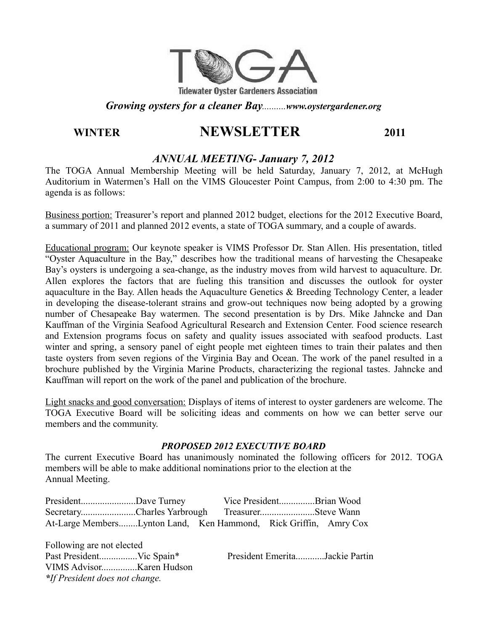

#### *Growing oysters for a cleaner Bay..........www.oystergardener.org*

# **WINTER NEWSLETTER 2011**

# *ANNUAL MEETING- January 7, 2012*

The TOGA Annual Membership Meeting will be held Saturday, January 7, 2012, at McHugh Auditorium in Watermen's Hall on the VIMS Gloucester Point Campus, from 2:00 to 4:30 pm. The agenda is as follows:

Business portion: Treasurer's report and planned 2012 budget, elections for the 2012 Executive Board, a summary of 2011 and planned 2012 events, a state of TOGA summary, and a couple of awards.

Educational program: Our keynote speaker is VIMS Professor Dr. Stan Allen. His presentation, titled "Oyster Aquaculture in the Bay," describes how the traditional means of harvesting the Chesapeake Bay's oysters is undergoing a sea-change, as the industry moves from wild harvest to aquaculture. Dr. Allen explores the factors that are fueling this transition and discusses the outlook for oyster aquaculture in the Bay. Allen heads the Aquaculture Genetics & Breeding Technology Center, a leader in developing the disease-tolerant strains and grow-out techniques now being adopted by a growing number of Chesapeake Bay watermen. The second presentation is by Drs. Mike Jahncke and Dan Kauffman of the Virginia Seafood Agricultural Research and Extension Center. Food science research and Extension programs focus on safety and quality issues associated with seafood products. Last winter and spring, a sensory panel of eight people met eighteen times to train their palates and then taste oysters from seven regions of the Virginia Bay and Ocean. The work of the panel resulted in a brochure published by the Virginia Marine Products, characterizing the regional tastes. Jahncke and Kauffman will report on the work of the panel and publication of the brochure.

Light snacks and good conversation: Displays of items of interest to oyster gardeners are welcome. The TOGA Executive Board will be soliciting ideas and comments on how we can better serve our members and the community.

### *PROPOSED 2012 EXECUTIVE BOARD*

The current Executive Board has unanimously nominated the following officers for 2012. TOGA members will be able to make additional nominations prior to the election at the Annual Meeting.

| PresidentDave Turney                                             |  | Vice PresidentBrian Wood |  |
|------------------------------------------------------------------|--|--------------------------|--|
| SecretaryCharles Yarbrough TreasurerSteve Wann                   |  |                          |  |
| At-Large MembersLynton Land, Ken Hammond, Rick Griffin, Amry Cox |  |                          |  |

Following are not elected Past President................Vic Spain\* President Emerita............Jackie Partin VIMS Advisor...............Karen Hudson *\*If President does not change.*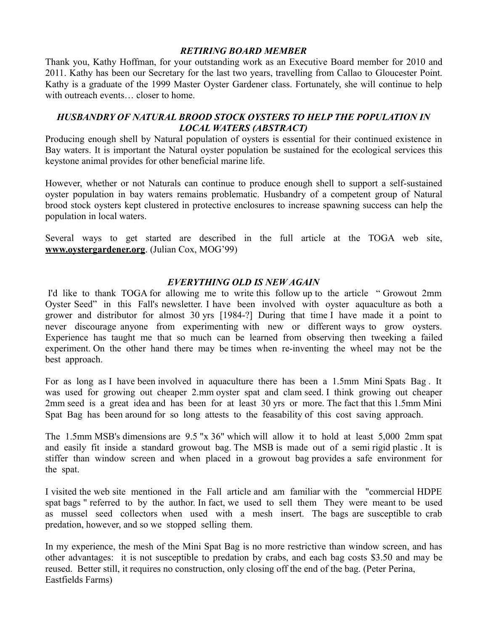#### *RETIRING BOARD MEMBER*

Thank you, Kathy Hoffman, for your outstanding work as an Executive Board member for 2010 and 2011. Kathy has been our Secretary for the last two years, travelling from Callao to Gloucester Point. Kathy is a graduate of the 1999 Master Oyster Gardener class. Fortunately, she will continue to help with outreach events closer to home.

### *HUSBANDRY OF NATURAL BROOD STOCK OYSTERS TO HELP THE POPULATION IN LOCAL WATERS (ABSTRACT)*

Producing enough shell by Natural population of oysters is essential for their continued existence in Bay waters. It is important the Natural oyster population be sustained for the ecological services this keystone animal provides for other beneficial marine life.

However, whether or not Naturals can continue to produce enough shell to support a self-sustained oyster population in bay waters remains problematic. Husbandry of a competent group of Natural brood stock oysters kept clustered in protective enclosures to increase spawning success can help the population in local waters.

Several ways to get started are described in the full article at the TOGA web site, **www.oystergardener.org**. (Julian Cox, MOG'99)

#### *EVERYTHING OLD IS NEW AGAIN*

I'd like to thank TOGA for allowing me to write this follow up to the article " Growout 2mm Oyster Seed" in this Fall's newsletter. I have been involved with oyster aquaculture as both a grower and distributor for almost 30 yrs [1984-?] During that time I have made it a point to never discourage anyone from experimenting with new or different ways to grow oysters. Experience has taught me that so much can be learned from observing then tweeking a failed experiment. On the other hand there may be times when re-inventing the wheel may not be the best approach.

For as long as I have been involved in aquaculture there has been a 1.5mm Mini Spats Bag . It was used for growing out cheaper 2.mm oyster spat and clam seed. I think growing out cheaper 2mm seed is a great idea and has been for at least 30 yrs or more. The fact that this 1.5mm Mini Spat Bag has been around for so long attests to the feasability of this cost saving approach.

The 1.5mm MSB's dimensions are 9.5 "x 36" which will allow it to hold at least 5,000 2mm spat and easily fit inside a standard growout bag. The MSB is made out of a semi rigid plastic . It is stiffer than window screen and when placed in a growout bag provides a safe environment for the spat.

I visited the web site mentioned in the Fall article and am familiar with the "commercial HDPE spat bags " referred to by the author. In fact, we used to sell them They were meant to be used as mussel seed collectors when used with a mesh insert. The bags are susceptible to crab predation, however, and so we stopped selling them.

In my experience, the mesh of the Mini Spat Bag is no more restrictive than window screen, and has other advantages: it is not susceptible to predation by crabs, and each bag costs \$3.50 and may be reused. Better still, it requires no construction, only closing off the end of the bag. (Peter Perina, Eastfields Farms)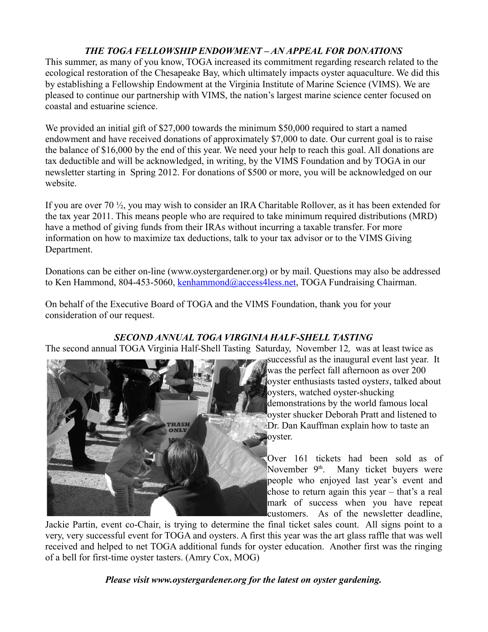# *THE TOGA FELLOWSHIP ENDOWMENT – AN APPEAL FOR DONATIONS*

This summer, as many of you know, TOGA increased its commitment regarding research related to the ecological restoration of the Chesapeake Bay, which ultimately impacts oyster aquaculture. We did this by establishing a Fellowship Endowment at the Virginia Institute of Marine Science (VIMS). We are pleased to continue our partnership with VIMS, the nation's largest marine science center focused on coastal and estuarine science.

We provided an initial gift of \$27,000 towards the minimum \$50,000 required to start a named endowment and have received donations of approximately \$7,000 to date. Our current goal is to raise the balance of \$16,000 by the end of this year. We need your help to reach this goal. All donations are tax deductible and will be acknowledged, in writing, by the VIMS Foundation and by TOGA in our newsletter starting in Spring 2012. For donations of \$500 or more, you will be acknowledged on our website.

If you are over 70 ½, you may wish to consider an IRA Charitable Rollover, as it has been extended for the tax year 2011. This means people who are required to take minimum required distributions (MRD) have a method of giving funds from their IRAs without incurring a taxable transfer. For more information on how to maximize tax deductions, talk to your tax advisor or to the VIMS Giving Department.

Donations can be either on-line (www.oystergardener.org) or by mail. Questions may also be addressed to Ken Hammond, 804-453-5060, [kenhammond@access4less.net,](mailto:kenhammond@access4less.net) TOGA Fundraising Chairman.

On behalf of the Executive Board of TOGA and the VIMS Foundation, thank you for your consideration of our request.

### *SECOND ANNUAL TOGA VIRGINIA HALF-SHELL TASTING*

The second annual TOGA Virginia Half-Shell Tasting Saturday, November 12*,* was at least twice as



successful as the inaugural event last year. It was the perfect fall afternoon as over 200 oyster enthusiasts tasted oyster*s*, talked about oysters, watched oyster-shucking demonstrations by the world famous local oyster shucker Deborah Pratt and listened to Dr. Dan Kauffman explain how to taste an **oyster.** 

Over 161 tickets had been sold as of November  $9<sup>th</sup>$ . Many ticket buyers were people who enjoyed last year's event and chose to return again this year – that's a real mark of success when you have repeat customers. As of the newsletter deadline,

Jackie Partin, event co-Chair, is trying to determine the final ticket sales count. All signs point to a very, very successful event for TOGA and oysters. A first this year was the art glass raffle that was well received and helped to net TOGA additional funds for oyster education. Another first was the ringing of a bell for first-time oyster tasters. (Amry Cox, MOG)

*Please visit www.oystergardener.org for the latest on oyster gardening.*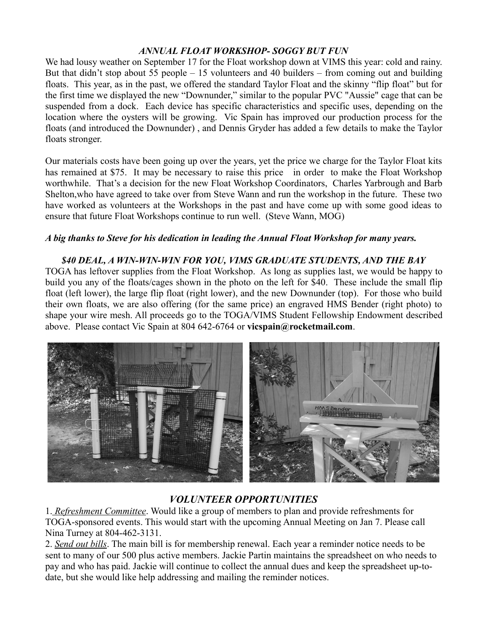# *ANNUAL FLOAT WORKSHOP- SOGGY BUT FUN*

We had lousy weather on September 17 for the Float workshop down at VIMS this year: cold and rainy. But that didn't stop about 55 people – 15 volunteers and 40 builders – from coming out and building floats. This year, as in the past, we offered the standard Taylor Float and the skinny "flip float" but for the first time we displayed the new "Downunder," similar to the popular PVC "Aussie" cage that can be suspended from a dock. Each device has specific characteristics and specific uses, depending on the location where the oysters will be growing. Vic Spain has improved our production process for the floats (and introduced the Downunder) , and Dennis Gryder has added a few details to make the Taylor floats stronger.

Our materials costs have been going up over the years, yet the price we charge for the Taylor Float kits has remained at \$75. It may be necessary to raise this price in order to make the Float Workshop worthwhile. That's a decision for the new Float Workshop Coordinators, Charles Yarbrough and Barb Shelton,who have agreed to take over from Steve Wann and run the workshop in the future. These two have worked as volunteers at the Workshops in the past and have come up with some good ideas to ensure that future Float Workshops continue to run well. (Steve Wann, MOG)

### *A big thanks to Steve for his dedication in leading the Annual Float Workshop for many years.*

#### *\$40 DEAL, A WIN-WIN-WIN FOR YOU, VIMS GRADUATE STUDENTS, AND THE BAY*

TOGA has leftover supplies from the Float Workshop. As long as supplies last, we would be happy to build you any of the floats/cages shown in the photo on the left for \$40. These include the small flip float (left lower), the large flip float (right lower), and the new Downunder (top). For those who build their own floats, we are also offering (for the same price) an engraved HMS Bender (right photo) to shape your wire mesh. All proceeds go to the TOGA/VIMS Student Fellowship Endowment described above. Please contact Vic Spain at 804 642-6764 or **vicspain@rocketmail.com**.



# *VOLUNTEER OPPORTUNITIES*

1. *Refreshment Committee*. Would like a group of members to plan and provide refreshments for TOGA-sponsored events. This would start with the upcoming Annual Meeting on Jan 7. Please call Nina Turney at 804-462-3131.

2. *Send out bills*. The main bill is for membership renewal. Each year a reminder notice needs to be sent to many of our 500 plus active members. Jackie Partin maintains the spreadsheet on who needs to pay and who has paid. Jackie will continue to collect the annual dues and keep the spreadsheet up-todate, but she would like help addressing and mailing the reminder notices.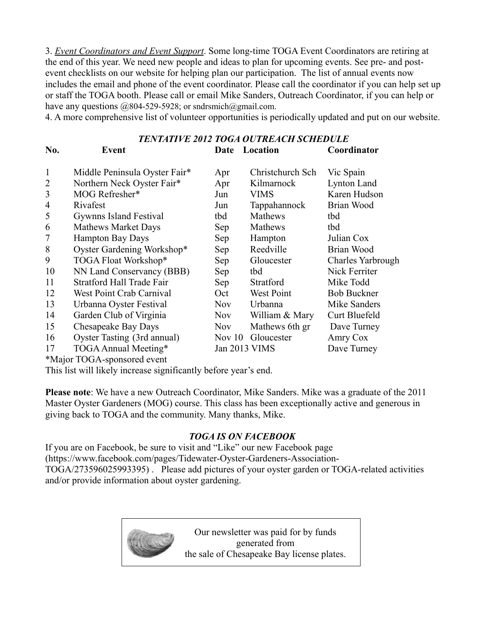3. *Event Coordinators and Event Support*. Some long-time TOGA Event Coordinators are retiring at the end of this year. We need new people and ideas to plan for upcoming events. See pre- and postevent checklists on our website for helping plan our participation. The list of annual events now includes the email and phone of the event coordinator. Please call the coordinator if you can help set up or staff the TOGA booth. Please call or email Mike Sanders, Outreach Coordinator, if you can help or have any questions  $@804-529-5928$ ; or sndrsmich@gmail.com.

4. A more comprehensive list of volunteer opportunities is periodically updated and put on our website.

|                | <b>TENTATIVE 2012 TOGA OUTREACH SCHEDULE</b> |            |                  |                    |  |  |  |
|----------------|----------------------------------------------|------------|------------------|--------------------|--|--|--|
| No.            | Event                                        | Date       | Location         | Coordinator        |  |  |  |
| 1              | Middle Peninsula Oyster Fair*                | Apr        | Christchurch Sch | Vic Spain          |  |  |  |
| $\overline{2}$ | Northern Neck Oyster Fair*                   | Apr        | Kilmarnock       | Lynton Land        |  |  |  |
| 3              | MOG Refresher*                               | Jun        | <b>VIMS</b>      | Karen Hudson       |  |  |  |
| $\overline{4}$ | Rivafest                                     | Jun        | Tappahannock     | Brian Wood         |  |  |  |
| 5              | Gywnns Island Festival                       | tbd        | Mathews          | tbd                |  |  |  |
| 6              | <b>Mathews Market Days</b>                   | Sep        | Mathews          | tbd                |  |  |  |
| $\overline{7}$ | <b>Hampton Bay Days</b>                      | Sep        | Hampton          | Julian Cox         |  |  |  |
| 8              | Oyster Gardening Workshop*                   | Sep        | Reedville        | Brian Wood         |  |  |  |
| 9              | TOGA Float Workshop*                         | Sep        | Gloucester       | Charles Yarbrough  |  |  |  |
| 10             | NN Land Conservancy (BBB)                    | Sep        | tbd              | Nick Ferriter      |  |  |  |
| 11             | <b>Stratford Hall Trade Fair</b>             | Sep        | Stratford        | Mike Todd          |  |  |  |
| 12             | West Point Crab Carnival                     | Oct        | West Point       | <b>Bob Buckner</b> |  |  |  |
| 13             | Urbanna Oyster Festival                      | <b>Nov</b> | Urbanna          | Mike Sanders       |  |  |  |
| 14             | Garden Club of Virginia                      | <b>Nov</b> | William & Mary   | Curt Bluefeld      |  |  |  |
| 15             | Chesapeake Bay Days                          | <b>Nov</b> | Mathews 6th gr   | Dave Turney        |  |  |  |
| 16             | Oyster Tasting (3rd annual)                  | Nov $10$   | Gloucester       | Amry Cox           |  |  |  |
| 17             | TOGA Annual Meeting*                         |            | Jan 2013 VIMS    | Dave Turney        |  |  |  |
|                | *Major TOGA-sponsored event                  |            |                  |                    |  |  |  |

This list will likely increase significantly before year's end.

**Please note**: We have a new Outreach Coordinator, Mike Sanders. Mike was a graduate of the 2011 Master Oyster Gardeners (MOG) course. This class has been exceptionally active and generous in giving back to TOGA and the community. Many thanks, Mike.

# *TOGA IS ON FACEBOOK*

If you are on Facebook, be sure to visit and "Like" our new Facebook page (https://www.facebook.com/pages/Tidewater-Oyster-Gardeners-Association-TOGA/273596025993395) . Please add pictures of your oyster garden or TOGA-related activities and/or provide information about oyster gardening.



Our newsletter was paid for by funds generated from the sale of Chesapeake Bay license plates.